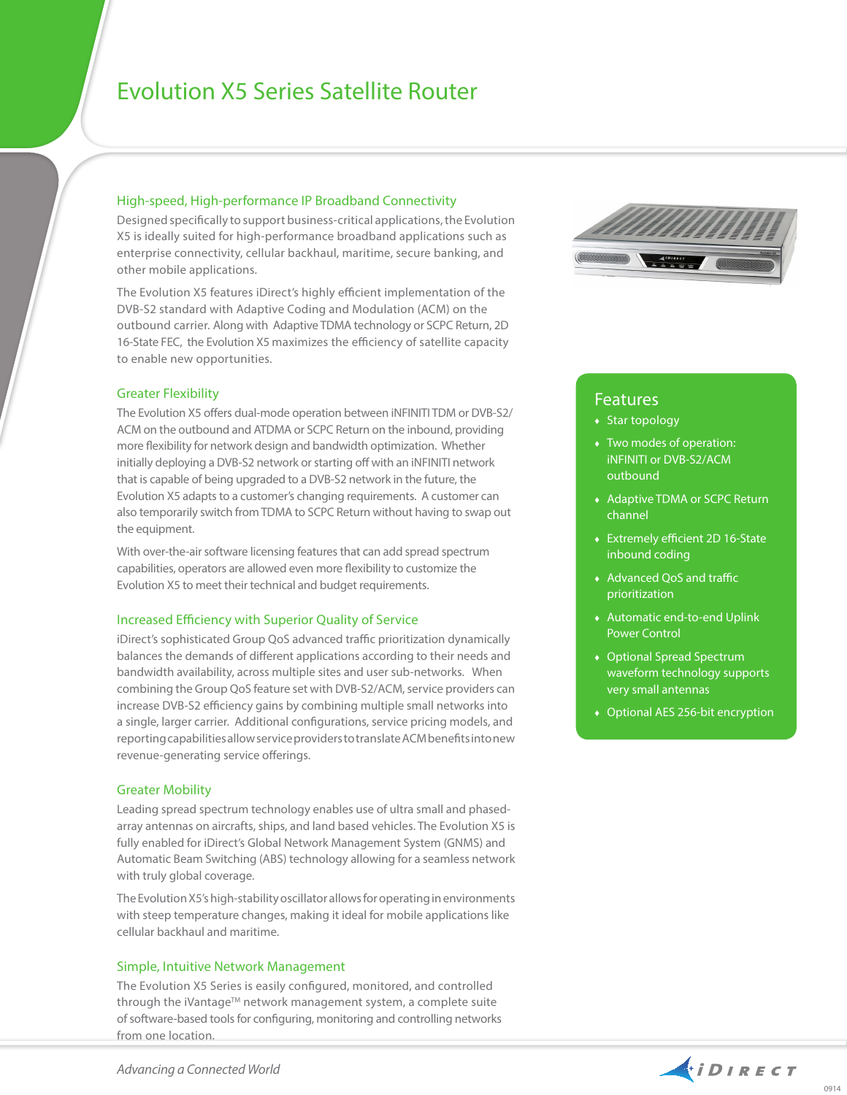# Evolution X5 Series Satellite Router

#### High-speed, High-performance IP Broadband Connectivity

Designed specifically to support business-critical applications, the Evolution X5 is ideally suited for high-performance broadband applications such as enterprise connectivity, cellular backhaul, maritime, secure banking, and other mobile applications.

The Evolution X5 features iDirect's highly efficient implementation of the DVB-S2 standard with Adaptive Coding and Modulation (ACM) on the outbound carrier. Along with Adaptive TDMA technology or SCPC Return, 2D 16-State FEC, the Evolution X5 maximizes the efficiency of satellite capacity to enable new opportunities.

#### Greater Flexibility

The Evolution X5 offers dual-mode operation between iNFINITI TDM or DVB-S2/ ACM on the outbound and ATDMA or SCPC Return on the inbound, providing more flexibility for network design and bandwidth optimization. Whether initially deploying a DVB-S2 network or starting off with an iNFINITI network that is capable of being upgraded to a DVB-S2 network in the future, the Evolution X5 adapts to a customer's changing requirements. A customer can also temporarily switch from TDMA to SCPC Return without having to swap out the equipment.

With over-the-air software licensing features that can add spread spectrum capabilities, operators are allowed even more flexibility to customize the Evolution X5 to meet their technical and budget requirements.

#### Increased Efficiency with Superior Quality of Service

iDirect's sophisticated Group QoS advanced traffic prioritization dynamically balances the demands of different applications according to their needs and bandwidth availability, across multiple sites and user sub-networks. When combining the Group QoS feature set with DVB-S2/ACM, service providers can increase DVB-S2 efficiency gains by combining multiple small networks into a single, larger carrier. Additional configurations, service pricing models, and reporting capabilities allow service providers to translate ACM benefits into new revenue-generating service offerings.

#### Greater Mobility

Leading spread spectrum technology enables use of ultra small and phasedarray antennas on aircrafts, ships, and land based vehicles. The Evolution X5 is fully enabled for iDirect's Global Network Management System (GNMS) and Automatic Beam Switching (ABS) technology allowing for a seamless network with truly global coverage.

The Evolution X5's high-stability oscillator allows for operating in environments with steep temperature changes, making it ideal for mobile applications like cellular backhaul and maritime.

#### Simple, Intuitive Network Management

The Evolution X5 Series is easily configured, monitored, and controlled through the iVantage™ network management system, a complete suite of software-based tools for configuring, monitoring and controlling networks from one location.



## **Features**

- ♦ Star topology
- ♦ Two modes of operation: iNFINITI or DVB-S2/ACM outbound
- ♦ Adaptive TDMA or SCPC Return channel
- ♦ Extremely efficient 2D 16-State inbound coding
- ♦ Advanced QoS and traffic prioritization
- ♦ Automatic end-to-end Uplink Power Control
- ♦ Optional Spread Spectrum waveform technology supports very small antennas
- ♦ Optional AES 256-bit encryption